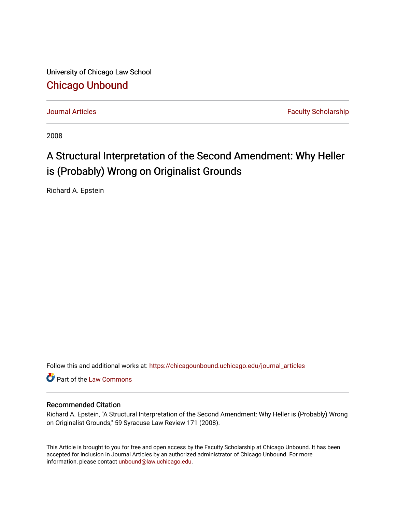University of Chicago Law School [Chicago Unbound](https://chicagounbound.uchicago.edu/)

[Journal Articles](https://chicagounbound.uchicago.edu/journal_articles) **Faculty Scholarship Journal Articles** 

2008

# A Structural Interpretation of the Second Amendment: Why Heller is (Probably) Wrong on Originalist Grounds

Richard A. Epstein

Follow this and additional works at: [https://chicagounbound.uchicago.edu/journal\\_articles](https://chicagounbound.uchicago.edu/journal_articles?utm_source=chicagounbound.uchicago.edu%2Fjournal_articles%2F4116&utm_medium=PDF&utm_campaign=PDFCoverPages) 

Part of the [Law Commons](http://network.bepress.com/hgg/discipline/578?utm_source=chicagounbound.uchicago.edu%2Fjournal_articles%2F4116&utm_medium=PDF&utm_campaign=PDFCoverPages)

## Recommended Citation

Richard A. Epstein, "A Structural Interpretation of the Second Amendment: Why Heller is (Probably) Wrong on Originalist Grounds," 59 Syracuse Law Review 171 (2008).

This Article is brought to you for free and open access by the Faculty Scholarship at Chicago Unbound. It has been accepted for inclusion in Journal Articles by an authorized administrator of Chicago Unbound. For more information, please contact [unbound@law.uchicago.edu](mailto:unbound@law.uchicago.edu).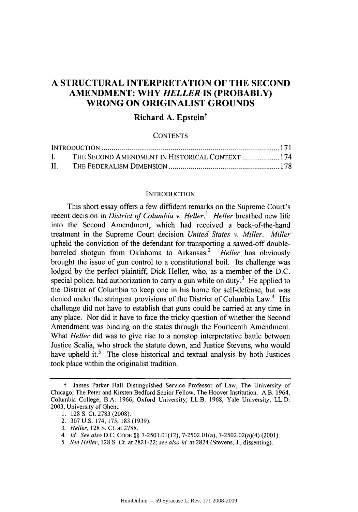# **A STRUCTURAL INTERPRETATION OF THE SECOND AMENDMENT: WHY** *HELLER* **IS (PROBABLY) WRONG ON ORIGINALIST GROUNDS**

### **Richard A. Epstein<sup>†</sup>**

#### **CONTENTS**

| I.  | THE SECOND AMENDMENT IN HISTORICAL CONTEXT  174 |  |
|-----|-------------------------------------------------|--|
| II. |                                                 |  |

#### INTRODUCTION

This short essay offers a few diffident remarks on the Supreme Court's recent decision in *District of Columbia v. Heller.' Heller* breathed new life into the Second Amendment, which had received a back-of-the-hand treatment in the Supreme Court decision *United States v. Miller. Miller* upheld the conviction of the defendant for transporting a sawed-off doublebarreled shotgun from Oklahoma to Arkansas.<sup>2</sup> Heller has obviously brought the issue of gun control to a constitutional boil. Its challenge was lodged by the perfect plaintiff, Dick Heller, who, as a member of the D.C. special police, had authorization to carry a gun while on duty.<sup>3</sup> He applied to the District of Columbia to keep one in his home for self-defense, but was denied under the stringent provisions of the District of Columbia Law.<sup>4</sup> His challenge did not have to establish that guns could be carried at any time in any place. Nor did it have to face the tricky question of whether the Second Amendment was binding on the states through the Fourteenth Amendment. What *Heller* did was to give rise to a nonstop interpretative battle between Justice Scalia, who struck the statute down, and Justice Stevens, who would have upheld it. $5$  The close historical and textual analysis by both Justices took place within the originalist tradition.

t James Parker Hall Distinguished Service Professor of Law, The University of Chicago; The Peter and Kirsten Bedford Senior Fellow, The Hoover Institution. A.B. 1964, Columbia College; B.A. 1966, Oxford University; LL.B. 1968, Yale University; LL.D. **2003,** University of Ghent.

<sup>1. 128</sup> **S.** Ct. 2783 (2008).

<sup>2. 307</sup> U.S. 174, 175, 183 (1939).

*<sup>3.</sup> Heller,* 128 **S.** Ct. at 2788.

*<sup>4.</sup> Id. See also* D.C. **CODE §§ 7-2501.01(12),** 7-2502.01(a), 7-2502.02(a)(4) (2001).

*<sup>5.</sup> See Heller,* 128 **S.** Ct. at 2821-22; *see also id.* at 2824 (Stevens, J., dissenting).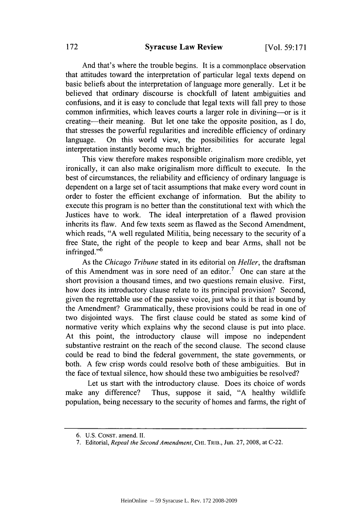#### **Syracuse Law Review**

And that's where the trouble begins. It is a commonplace observation that attitudes toward the interpretation of particular legal texts depend on basic beliefs about the interpretation of language more generally. Let it be believed that ordinary discourse is chockfull of latent ambiguities and confusions, and it is easy to conclude that legal texts will fall prey to those common infirmities, which leaves courts a larger role in divining—or is it creating-their meaning. But let one take the opposite position, as I do, that stresses the powerful regularities and incredible efficiency of ordinary language. On this world view, the possibilities for accurate legal interpretation instantly become much brighter.

This view therefore makes responsible originalism more credible, yet ironically, it can also make originalism more difficult to execute. In the best of circumstances, the reliability and efficiency of ordinary language is dependent on a large set of tacit assumptions that make every word count in order to foster the efficient exchange of information. But the ability to execute this program is no better than the constitutional text with which the Justices have to work. The ideal interpretation of a flawed provision inherits its flaw. And few texts seem as flawed as the Second Amendment, which reads, "A well regulated Militia, being necessary to the security of a free State, the right of the people to keep and bear Arms, shall not be infringed." $6$ 

As the *Chicago Tribune* stated in its editorial on *Heller,* the draftsman of this Amendment was in sore need of an editor.<sup>7</sup> One can stare at the short provision a thousand times, and two questions remain elusive. First, how does its introductory clause relate to its principal provision? Second, given the regrettable use of the passive voice, just who is it that is bound by the Amendment? Grammatically, these provisions could be read in one of two disjointed ways. The first clause could be stated as some kind of normative verity which explains why the second clause is put into place. At this point, the introductory clause will impose no independent substantive restraint on the reach of the second clause. The second clause could be read to bind the federal government, the state governments, or both. A few crisp words could resolve both of these ambiguities. But in the face of textual silence, how should these two ambiguities be resolved?

Let us start with the introductory clause. Does its choice of words make any difference? Thus, suppose it said, "A healthy wildlife population, being necessary to the security of homes and farms, the right of

<sup>6.</sup> U.S. **CONST.** amend. **II**

<sup>7.</sup> Editorial, *Repeal the Second Amendment,* **CHI.** TRIB., Jun. 27, 2008, at C-22.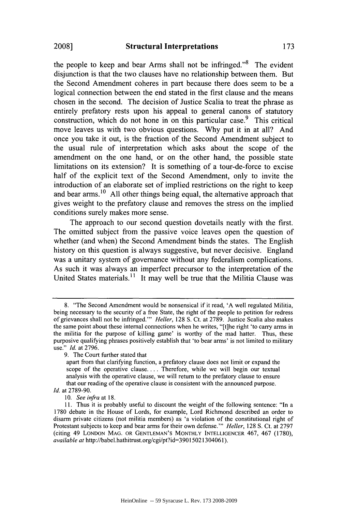the people to keep and bear Arms shall not be infringed.<sup> $3$ </sup> The evident disjunction is that the two clauses have no relationship between them. But the Second Amendment coheres in part because there does seem to be a logical connection between the end stated in the first clause and the means chosen in the second. The decision of Justice Scalia to treat the phrase as entirely prefatory rests upon his appeal to general canons of statutory construction, which do not hone in on this particular case.<sup>9</sup> This critical move leaves us with two obvious questions. Why put it in at all? And once you take it out, is the fraction of the Second Amendment subject to the usual rule of interpretation which asks about the scope of the amendment on the one hand, or on the other hand, the possible state limitations on its extension? It is something of a tour-de-force to excise half of the explicit text of the Second Amendment, only to invite the introduction of an elaborate set of implied restrictions on the right to keep and bear arms.<sup>10</sup> All other things being equal, the alternative approach that gives weight to the prefatory clause and removes the stress on the implied conditions surely makes more sense.

The approach to our second question dovetails neatly with the first. The omitted subject from the passive voice leaves open the question of whether (and when) the Second Amendment binds the states. The English history on this question is always suggestive, but never decisive. England was a unitary system of governance without any federalism complications. As such it was always an imperfect precursor to the interpretation of the United States materials. $\frac{11}{11}$  It may well be true that the Militia Clause was

173

<sup>8. &</sup>quot;The Second Amendment would be nonsensical if it read, 'A well regulated Militia, being necessary to the security of a free State, the right of the people to petition for redress of grievances shall not be infringed."' *Heller,* 128 **S.** Ct. at 2789. Justice Scalia also makes the same point about these internal connections when he writes, "[t]he right 'to carry arms in the militia for the purpose of killing game' is worthy of the mad hatter. Thus, these purposive qualifying phrases positively establish that 'to bear arms' is not limited to military use." *Id.* at 2796.

<sup>9.</sup> The Court further stated that

apart from that clarifying function, a prefatory clause does not limit or expand the scope of the operative clause **....** Therefore, while we will begin our textual analysis with the operative clause, we will return to the prefatory clause to ensure that our reading of the operative clause is consistent with the announced purpose. *Id.* at 2789-90.

*<sup>10.</sup> See infra* at 18.

<sup>11.</sup> Thus it is probably useful to discount the weight of the following sentence: "In a 1780 debate in the House of Lords, for example, Lord Richmond described an order to disarm private citizens (not militia members) as 'a violation of the constitutional right of Protestant subjects to keep and bear arms for their own defense."' *Heller,* 128 **S.** Ct. at 2797 (citing 49 LONDON MAG. OR GENTLEMAN'S MONTHLY **INTELLIGENCER** 467, 467 (1780), *available at* http://babel.hathitrust.org/cgi/pt?id=39015021304061).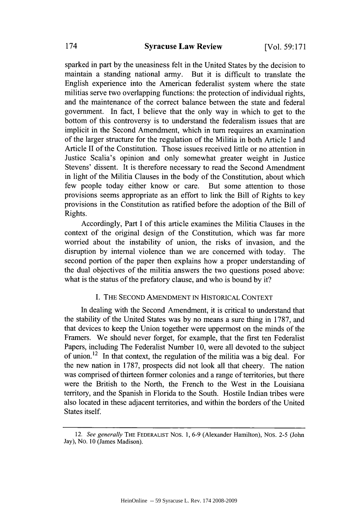sparked in part by the uneasiness felt in the United States by the decision to maintain a standing national army. But it is difficult to translate the English experience into the American federalist system where the state militias serve two overlapping functions: the protection of individual rights, and the maintenance of the correct balance between the state and federal government. In fact, I believe that the only way in which to get to the bottom of this controversy is to understand the federalism issues that are implicit in the Second Amendment, which in turn requires an examination of the larger structure for the regulation of the Militia in both Article I and Article II of the Constitution. Those issues received little or no attention in Justice Scalia's opinion and only somewhat greater weight in Justice Stevens' dissent. It is therefore necessary to read the Second Amendment in light of the Militia Clauses in the body of the Constitution, about which few people today either know or care. But some attention to those provisions seems appropriate as an effort to link the Bill of Rights to key provisions in the Constitution as ratified before the adoption of the Bill of Rights.

Accordingly, Part I of this article examines the Militia Clauses in the context of the original design of the Constitution, which was far more worried about the instability of union, the risks of invasion, and the disruption by internal violence than we are concerned with today. The second portion of the paper then explains how a proper understanding of the dual objectives of the militia answers the two questions posed above: what is the status of the prefatory clause, and who is bound by it?

#### I. THE SECOND AMENDMENT IN HISTORICAL CONTEXT

In dealing with the Second Amendment, it is critical to understand that the stability of the United States was by no means a sure thing in 1787, and that devices to keep the Union together were uppermost on the minds of the Framers. We should never forget, for example, that the first ten Federalist Papers, including The Federalist Number **10,** were all devoted to the subject of union.<sup>12</sup> In that context, the regulation of the militia was a big deal. For the new nation in 1787, prospects did not look all that cheery. The nation was comprised of thirteen former colonies and a range of territories, but there were the British to the North, the French to the West in the Louisiana territory, and the Spanish in Florida to the South. Hostile Indian tribes were also located in these adjacent territories, and within the borders of the United States itself.

<sup>12.</sup> *See generally* THE FEDERALIST Nos. **1,** 6-9 (Alexander Hamilton), Nos. 2-5 (John Jay), No. 10 (James Madison).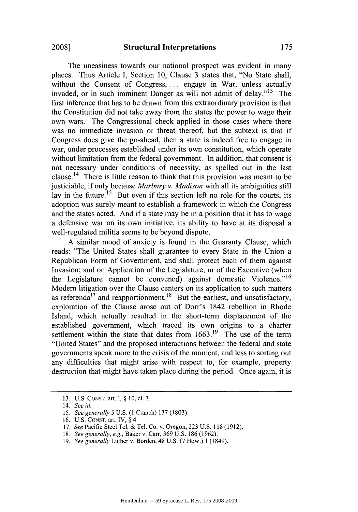The uneasiness towards our national prospect was evident in many places. Thus Article I, Section 10, Clause 3 states that, "No State shall, without the Consent of Congress, ... engage in War, unless actually invaded, or in such imminent Danger as will not admit of delay."<sup>13</sup> The first inference that has to be drawn from this extraordinary provision is that the Constitution did not take away from the states the power to wage their own wars. The Congressional check applied in those cases where there was no immediate invasion or threat thereof, but the subtext is that if Congress does give the go-ahead, then a state is indeed free to engage in war, under processes established under its own constitution, which operate without limitation from the federal government. In addition, that consent is not necessary under conditions of necessity, as spelled out in the last clause.<sup>14</sup> There is little reason to think that this provision was meant to be justiciable, if only because *Marbury v. Madison* with all its ambiguities still lay in the future.<sup>15</sup> But even if this section left no role for the courts, its adoption was surely meant to establish a framework in which the Congress and the states acted. And if a state may be in a position that it has to wage a defensive war on its own initiative, its ability to have at its disposal a well-regulated militia seems to be beyond dispute.

A similar mood of anxiety is found in the Guaranty Clause, which reads: "The United States shall guarantee to every State in the Union a Republican Form of Government, and shall protect each of them against Invasion; and on Application of the Legislature, or of the Executive (when the Legislature cannot be convened) against domestic Violence."<sup>16</sup> Modem litigation over the Clause centers on its application to such matters as referenda<sup>17</sup> and reapportionment.<sup>18</sup> But the earliest, and unsatisfactory, exploration of the Clause arose out of Dorr's 1842 rebellion in Rhode Island, which actually resulted in the short-term displacement of the established government, which traced its own origins to a charter settlement within the state that dates from  $1663<sup>19</sup>$  The use of the term "United States" and the proposed interactions between the federal and state governments speak more to the crisis of the moment, and less to sorting out any difficulties that might arise with respect to, for example, property destruction that might have taken place during the period. Once again, it is

<sup>13.</sup> U.S. CONST. art. I, **§ 10,** cl. 3.

<sup>14.</sup> *See id.*

<sup>15.</sup> See generally 5 U.S. (1 Cranch) 137 (1803).

<sup>16.</sup> U.S. CONST. art. IV, **§** 4.

<sup>17.</sup> *See* Pacific Steel Tel. & Tel. Co. v. Oregon, 223 U.S. 118 (1912).

<sup>18.</sup> *See generally, e.g.,* Baker v. Carr, 369 U.S. 186 (1962).

<sup>19.</sup> *See generally* Luther v. Borden, 48 U.S. (7 How.) 1 (1849).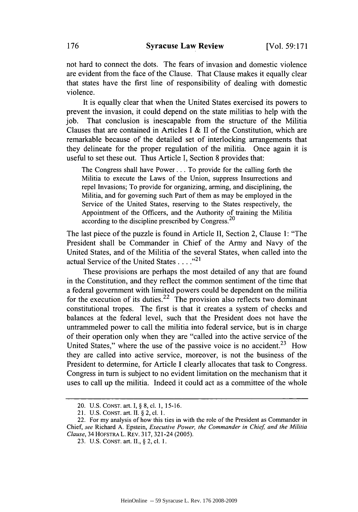not hard to connect the dots. The fears of invasion and domestic violence are evident from the face of the Clause. That Clause makes it equally clear that states have the first line of responsibility of dealing with domestic violence.

It is equally clear that when the United States exercised its powers to prevent the invasion, it could depend on the state militias to help with the job. That conclusion is inescapable from the structure of the Militia Clauses that are contained in Articles I & II of the Constitution, which are remarkable because of the detailed set of interlocking arrangements that they delineate for the proper regulation of the militia. Once again it is useful to set these out. Thus Article I, Section 8 provides that:

The Congress shall have Power... To provide for the calling forth the Militia to execute the Laws of the Union, suppress Insurrections and repel Invasions; To provide for organizing, arming, and disciplining, the Militia, and for governing such Part of them as may be employed in the Service of the United States, reserving to the States respectively, the Appointment of the Officers, and the Authority of training the Militia according to the discipline prescribed by Congress.<sup>20</sup>

The last piece of the puzzle is found in Article II, Section 2, Clause 1: "The President shall be Commander in Chief of the Army and Navy of the United States, and of the Militia of the several States, when called into the actual Service of the United States ...."<sup>21</sup>

These provisions are perhaps the most detailed of any that are found in the Constitution, and they reflect the common sentiment of the time that a federal government with limited powers could be dependent on the militia for the execution of its duties.<sup>22</sup> The provision also reflects two dominant constitutional tropes. The first is that it creates a system of checks and balances at the federal level, such that the President does not have the untrammeled power to call the militia into federal service, but is in charge of their operation only when they are "called into the active service of the United States," where the use of the passive voice is no accident. $2<sup>3</sup>$  How they are called into active service, moreover, is not the business of the President to determine, for Article I clearly allocates that task to Congress. Congress in turn is subject to no evident limitation on the mechanism that it uses to call up the militia. Indeed it could act as a committee of the whole

<sup>20.</sup> U.S. CONST. art. I, **§** 8, cl. 1, 15-16.

<sup>21.</sup> U.S. CONST. art. II. **§** 2, cl. 1.

<sup>22.</sup> For my analysis of how this ties in with the role of the President as Commander in Chief, *see* Richard A. Epstein, *Executive Power, the Commander in Chief and the Militia Clause,* 34 HOFSTRA L. REv. 317, 321-24 (2005).

<sup>23.</sup> U.S. CONST. art. II., **§** 2, cl. 1.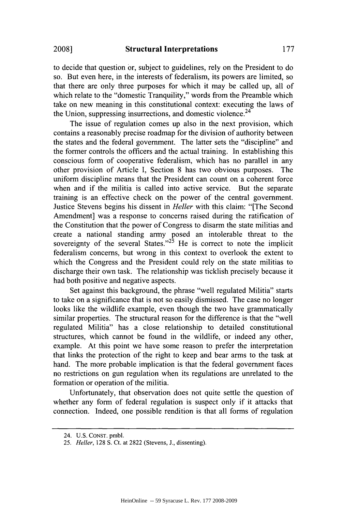to decide that question or, subject to guidelines, rely on the President to do so. But even here, in the interests of federalism, its powers are limited, so that there are only three purposes for which it may be called up, all of which relate to the "domestic Tranquility," words from the Preamble which take on new meaning in this constitutional context: executing the laws of the Union, suppressing insurrections, and domestic violence.<sup>24</sup>

The issue of regulation comes up also in the next provision, which contains a reasonably precise roadmap for the division of authority between the states and the federal government. The latter sets the "discipline" and the former controls the officers and the actual training. In establishing this conscious form of cooperative federalism, which has no parallel in any other provision of Article I, Section 8 has two obvious purposes. The uniform discipline means that the President can count on a coherent force when and if the militia is called into active service. But the separate training is an effective check on the power of the central government. Justice Stevens begins his dissent in *Heller* with this claim: "[The Second Amendment] was a response to concerns raised during the ratification of the Constitution that the power of Congress to disarm the state militias and create a national standing army posed an intolerable threat to the sovereignty of the several States." $2^5$  He is correct to note the implicit federalism concerns, but wrong in this context to overlook the extent to which the Congress and the President could rely on the state militias to discharge their own task. The relationship was ticklish precisely because it had both positive and negative aspects.

Set against this background, the phrase "well regulated Militia" starts to take on a significance that is not so easily dismissed. The case no longer looks like the wildlife example, even though the two have grammatically similar properties. The structural reason for the difference is that the "well regulated Militia" has a close relationship to detailed constitutional structures, which cannot be found in the wildlife, or indeed any other, example. At this point we have some reason to prefer the interpretation that links the protection of the right to keep and bear arms to the task at hand. The more probable implication is that the federal government faces no restrictions on gun regulation when its regulations are unrelated to the formation or operation of the militia.

Unfortunately, that observation does not quite settle the question of whether any form of federal regulation is suspect only if it attacks that connection. Indeed, one possible rendition is that all forms of regulation

**2008]**

<sup>24.</sup> **U.S.** CONST. pmbl.

<sup>25.</sup> *Heller,* 128 S. Ct. at 2822 (Stevens, J., dissenting).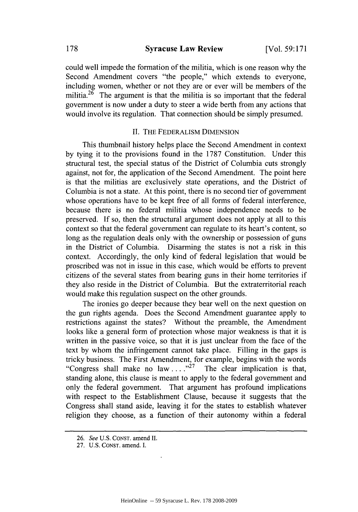could well impede the formation of the militia, which is one reason why the Second Amendment covers "the people," which extends to everyone, including women, whether or not they are or ever will be members of the militia.<sup>26</sup> The argument is that the militia is so important that the federal government is now under a duty to steer a wide berth from any actions that would involve its regulation. That connection should be simply presumed.

#### II. THE FEDERALISM DIMENSION

This thumbnail history helps place the Second Amendment in context by tying it to the provisions found in the 1787 Constitution. Under this structural test, the special status of the District of Columbia cuts strongly against, not for, the application of the Second Amendment. The point here is that the militias are exclusively state operations, and the District of Columbia is not a state. At this point, there is no second tier of government whose operations have to be kept free of all forms of federal interference, because there is no federal militia whose independence needs to be preserved. If so, then the structural argument does not apply at all to this context so that the federal government can regulate to its heart's content, so long as the regulation deals only with the ownership or possession of guns in the District of Columbia. Disarming the states is not a risk in this context. Accordingly, the only kind of federal legislation that would be proscribed was not in issue in this case, which would be efforts to prevent citizens of the several states from bearing guns in their home territories if they also reside in the District of Columbia. But the extraterritorial reach would make this regulation suspect on the other grounds.

The ironies go deeper because they bear well on the next question on the gun rights agenda. Does the Second Amendment guarantee apply to restrictions against the states? Without the preamble, the Amendment looks like a general form of protection whose major weakness is that it is written in the passive voice, so that it is just unclear from the face of the text by whom the infringement cannot take place. Filling in the gaps is tricky business. The First Amendment, for example, begins with the words "Congress shall make no law  $\ldots$ .<sup>27</sup> The clear implication is that, standing alone, this clause is meant to apply to the federal government and only the federal government. That argument has profound implications with respect to the Establishment Clause, because it suggests that the Congress shall stand aside, leaving it for the states to establish whatever religion they choose, as a function of their autonomy within a federal

<sup>26.</sup> **See** U.S. CONST. amend **II.**

<sup>27.</sup> U.S. CONST. amend. I.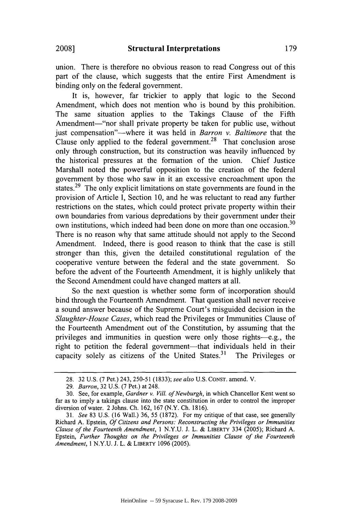union. There is therefore no obvious reason to read Congress out of this part of the clause, which suggests that the entire First Amendment is binding only on the federal government.

It is, however, far trickier to apply that logic to the Second Amendment, which does not mention who is bound by this prohibition. The same situation applies to the Takings Clause of the Fifth Amendment—"nor shall private property be taken for public use, without just compensation"-where it was held in *Barron v. Baltimore* that the Clause only applied to the federal government.<sup>28</sup> That conclusion arose only through construction, but its construction was heavily influenced by the historical pressures at the formation of the union. Chief Justice Marshall noted the powerful opposition to the creation of the federal government by those who saw in it an excessive encroachment upon the states.<sup>29</sup> The only explicit limitations on state governments are found in the provision of Article I, Section 10, and he was reluctant to read any further restrictions on the states, which could protect private property within their own boundaries from various depredations by their government under their own institutions, which indeed had been done on more than one occasion.<sup>30</sup> There is no reason why that same attitude should not apply to the Second Amendment. Indeed, there is good reason to think that the case is still stronger than this, given the detailed constitutional regulation of the cooperative venture between the federal and the state government. So before the advent of the Fourteenth Amendment, it is highly unlikely that the Second Amendment could have changed matters at all.

So the next question is whether some form of incorporation should bind through the Fourteenth Amendment. That question shall never receive a sound answer because of the Supreme Court's misguided decision in the *Slaughter-House Cases,* which read the Privileges or Immunities Clause of the Fourteenth Amendment out of the Constitution, by assuming that the privileges and immunities in question were only those rights-e.g., the right to petition the federal government—that individuals held in their capacity solely as citizens of the United States. 31 The Privileges or

<sup>28. 32</sup> U.S. (7 Pet.) 243, 250-51 (1833); *see also* U.S. CONST. amend. V.

<sup>29.</sup> *Barron,* 32 U.S. (7 Pet.) at 248.

<sup>30.</sup> See, for example, *Gardner v. Vill. of Newburgh,* in which Chancellor Kent went so far as to imply a takings clause into the state constitution in order to control the improper diversion of water. 2 Johns. Ch. 162, 167 (N.Y. Ch. 1816).

<sup>31.</sup> *See* 83 U.S. (16 Wall.) 36, 55 (1872). For my critique of that case, see generally Richard A. Epstein, *Of Citizens and Persons: Reconstructing the Privileges or Immunities Clause of the Fourteenth Amendment,* 1 N.Y.U. J. L. & LIBERTY 334 (2005); Richard A. Epstein, *Further Thoughts on the Privileges or Immunities Clause of the Fourteenth Amendment,* 1 N.Y.U. J. L. & LIBERTY 1096 (2005).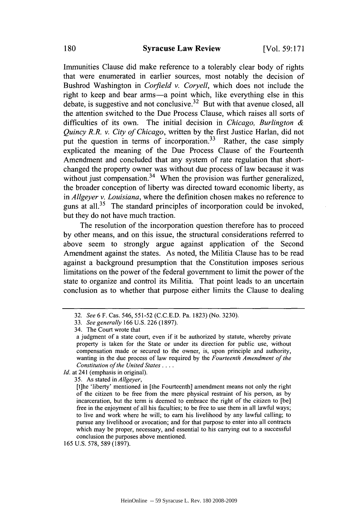Immunities Clause did make reference to a tolerably clear body of rights that were enumerated in earlier sources, most notably the decision of Bushrod Washington in *Corfield v. Coryell,* which does not include the right to keep and bear arms-a point which, like everything else in this debate, is suggestive and not conclusive.<sup>32</sup> But with that avenue closed, all the attention switched to the Due Process Clause, which raises all sorts of difficulties of its own. The initial decision in *Chicago, Burlington & Quincy R.R. v. City of Chicago,* written by the first Justice Harlan, did not put the question in terms of incorporation.<sup>33</sup> Rather, the case simply explicated the meaning of the Due Process Clause of the Fourteenth Amendment and concluded that any system of rate regulation that shortchanged the property owner was without due process of law because it was without just compensation.<sup>34</sup> When the provision was further generalized, the broader conception of liberty was directed toward economic liberty, as in *Allgeyer v. Louisiana,* where the definition chosen makes no reference to guns at all.<sup>35</sup> The standard principles of incorporation could be invoked, but they do not have much traction.

The resolution of the incorporation question therefore has to proceed by other means, and on this issue, the structural considerations referred to above seem to strongly argue against application of the Second Amendment against the states. As noted, the Militia Clause has to be read against a background presumption that the Constitution imposes serious limitations on the power of the federal government to limit the power of the state to organize and control its Militia. That point leads to an uncertain conclusion as to whether that purpose either limits the Clause to dealing

34. The Court wrote that

*Id.* at 241 (emphasis in original).

35. As stated in *Allgeyer,*

<sup>32.</sup> *See* 6 F. Cas. 546, 551-52 (C.C.E.D. Pa. 1823) (No. 3230).

<sup>33.</sup> *See generally* 166 U.S. 226 (1897).

a judgment of a state court, even if it be authorized by statute, whereby private property is taken for the State or under its direction for public use, without compensation made or secured to the owner, is, upon principle and authority, wanting in the due process of law required by the *Fourteenth Amendment of the Constitution of the United States ....*

<sup>[</sup>t]he 'liberty' mentioned in [the Fourteenth] amendment means not only the right of the citizen to be free from the mere physical restraint of his person, as by incarceration, but the term is deemed to embrace the right of the citizen to [be] free in the enjoyment of all his faculties; to be free to use them in all lawful ways; to live and work where he will; to earn his livelihood by any lawful calling; to pursue any livelihood or avocation; and for that purpose to enter into all contracts which may be proper, necessary, and essential to his carrying out to a successful conclusion the purposes above mentioned.

<sup>165</sup> U.S. 578, 589 (1897).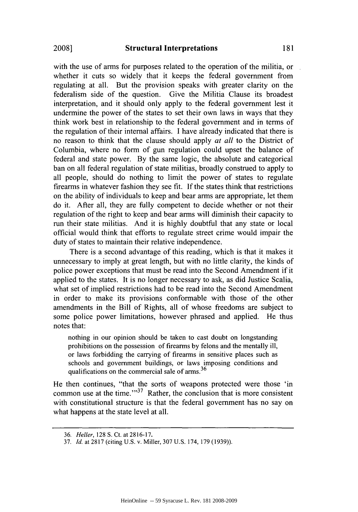with the use of arms for purposes related to the operation of the militia, or whether it cuts so widely that it keeps the federal government from regulating at all. But the provision speaks with greater clarity on the federalism side of the question. Give the Militia Clause its broadest interpretation, and it should only apply to the federal government lest it undermine the power of the states to set their own laws in ways that they think work best in relationship to the federal government and in terms of the regulation of their internal affairs. I have already indicated that there is no reason to think that the clause should apply *at all* to the District of Columbia, where no form of gun regulation could upset the balance of federal and state power. By the same logic, the absolute and categorical ban on all federal regulation of state militias, broadly construed to apply to all people, should do nothing to limit the power of states to regulate firearms in whatever fashion they see fit. If the states think that restrictions on the ability of individuals to keep and bear arms are appropriate, let them do it. After all, they are fully competent to decide whether or not their regulation of the right to keep and bear arms will diminish their capacity to run their state militias. And it is highly doubtful that any state or local official would think that efforts to regulate street crime would impair the duty of states to maintain their relative independence.

There is a second advantage of this reading, which is that it makes it unnecessary to imply at great length, but with no little clarity, the kinds of police power exceptions that must be read into the Second Amendment if it applied to the states. It is no longer necessary to ask, as did Justice Scalia, what set of implied restrictions had to be read into the Second Amendment in order to make its provisions conformable with those of the other amendments in the Bill of Rights, all of whose freedoms are subject to some police power limitations, however phrased and applied. He thus notes that:

nothing in our opinion should be taken to cast doubt on longstanding prohibitions on the possession of firearms by felons and the mentally ill, or laws forbidding the carrying of firearms in sensitive places such as schools and government buildings, or laws imposing conditions and qualifications on the commercial sale of arms. $36$ 

He then continues, "that the sorts of weapons protected were those 'in common use at the time." $3^3$  Rather, the conclusion that is more consistent with constitutional structure is that the federal government has no say on what happens at the state level at all.

<sup>36.</sup> Heller, 128 S. Ct. at 2816-17.

<sup>37.</sup> *Id.* at 2817 (citing U.S. v. Miller, 307 U.S. 174, 179 (1939)).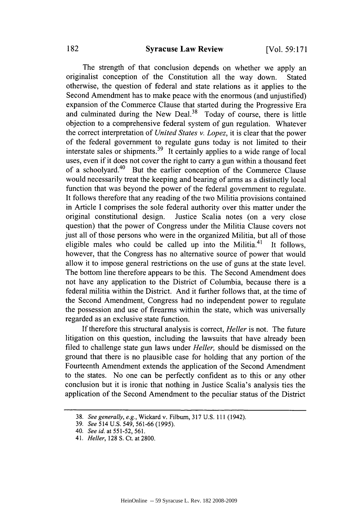The strength of that conclusion depends on whether we apply an originalist conception of the Constitution all the way down. Stated otherwise, the question of federal and state relations as it applies to the Second Amendment has to make peace with the enormous (and unjustified) expansion of the Commerce Clause that started during the Progressive Era and culminated during the New Deal.<sup>38</sup> Today of course, there is little objection to a comprehensive federal system of gun regulation. Whatever the correct interpretation of *United States v. Lopez,* it is clear that the power of the federal government to regulate guns today is not limited to their interstate sales or shipments. 39 It certainly applies to a wide range of local uses, even if it does not cover the right to carry a gun within a thousand feet of a schoolyard. 40 But the earlier conception of the Commerce Clause would necessarily treat the keeping and bearing of arms as a distinctly local function that was beyond the power of the federal government to regulate. It follows therefore that any reading of the two Militia provisions contained in Article I comprises the sole federal authority over this matter under the original constitutional design. Justice Scalia notes (on a very close question) that the power of Congress under the Militia Clause covers not just all of those persons who were in the organized Militia, but all of those eligible males who could be called up into the Militia. $41$  It follows. however, that the Congress has no alternative source of power that would allow it to impose general restrictions on the use of guns at the state level. The bottom line therefore appears to be this. The Second Amendment does not have any application to the District of Columbia, because there is a federal militia within the District. And it further follows that, at the time of the Second Amendment, Congress had no independent power to regulate the possession and use of firearms within the state, which was universally regarded as an exclusive state function.

If therefore this structural analysis is correct, *Heller* is not. The future litigation on this question, including the lawsuits that have already been filed to challenge state gun laws under *Heller,* should be dismissed on the ground that there is no plausible case for holding that any portion of the Fourteenth Amendment extends the application of the Second Amendment to the states. No one can be perfectly confident as to this or any other conclusion but it is ironic that nothing in Justice Scalia's analysis ties the application of the Second Amendment to the peculiar status of the District

<sup>38.</sup> *See generally, e.g.,* Wickard v. Filbum, 317 U.S. 111 (1942).

<sup>39.</sup> *See* 514 U.S. 549, 561-66 (1995).

<sup>40.</sup> *See id.* at 551-52, 561.

<sup>41.</sup> *Heller,* 128 S. Ct. at 2800.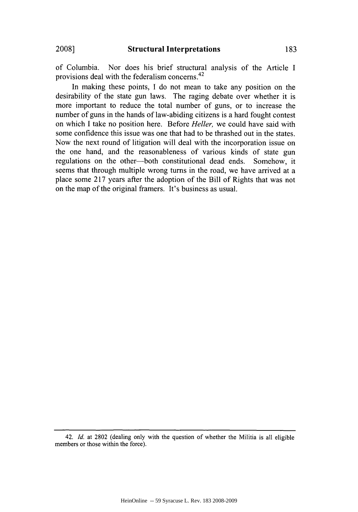of Columbia. Nor does his brief structural analysis of the Article I provisions deal with the federalism concerns.<sup>42</sup>

In making these points, I do not mean to take any position on the desirability of the state gun laws. The raging debate over whether it is more important to reduce the total number of guns, or to increase the number of guns in the hands of law-abiding citizens is a hard fought contest on which I take no position here. Before *Heller,* we could have said with some confidence this issue was one that had to be thrashed out in the states. Now the next round of litigation will deal with the incorporation issue on the one hand, and the reasonableness of various kinds of state gun regulations on the other-both constitutional dead ends. Somehow, it seems that through multiple wrong turns in the road, we have arrived at a place some 217 years after the adoption of the Bill of Rights that was not on the map of the original framers. It's business as usual.

<sup>42.</sup> *Id.* at 2802 (dealing only with the question of whether the Militia is all eligible members or those within the force).